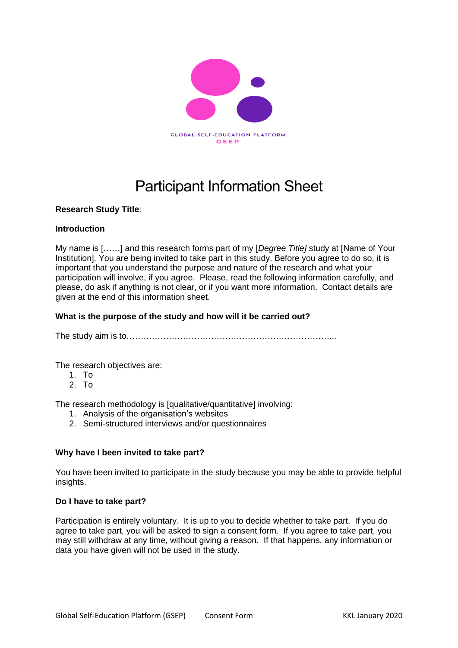

# Participant Information Sheet

# **Research Study Title**:

# **Introduction**

My name is [……] and this research forms part of my [*Degree Title]* study at [Name of Your Institution]. You are being invited to take part in this study. Before you agree to do so, it is important that you understand the purpose and nature of the research and what your participation will involve, if you agree. Please, read the following information carefully, and please, do ask if anything is not clear, or if you want more information. Contact details are given at the end of this information sheet.

# **What is the purpose of the study and how will it be carried out?**

The study aim is to………………………………………………………………...

The research objectives are:

- 1. To
- 2. To

The research methodology is [qualitative/quantitative] involving:

- 1. Analysis of the organisation's websites
- 2. Semi-structured interviews and/or questionnaires

# **Why have I been invited to take part?**

You have been invited to participate in the study because you may be able to provide helpful insights.

# **Do I have to take part?**

Participation is entirely voluntary. It is up to you to decide whether to take part. If you do agree to take part, you will be asked to sign a consent form. If you agree to take part, you may still withdraw at any time, without giving a reason. If that happens, any information or data you have given will not be used in the study.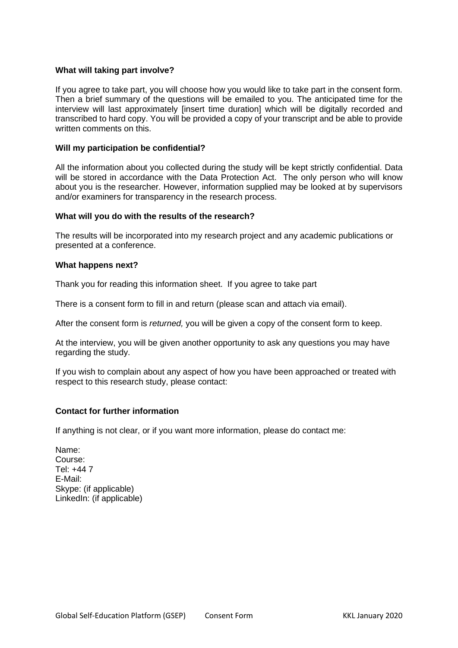# **What will taking part involve?**

If you agree to take part, you will choose how you would like to take part in the consent form. Then a brief summary of the questions will be emailed to you. The anticipated time for the interview will last approximately [insert time duration] which will be digitally recorded and transcribed to hard copy. You will be provided a copy of your transcript and be able to provide written comments on this.

#### **Will my participation be confidential?**

All the information about you collected during the study will be kept strictly confidential. Data will be stored in accordance with the Data Protection Act. The only person who will know about you is the researcher*.* However, information supplied may be looked at by supervisors and/or examiners for transparency in the research process.

#### **What will you do with the results of the research?**

The results will be incorporated into my research project and any academic publications or presented at a conference.

#### **What happens next?**

Thank you for reading this information sheet. If you agree to take part

There is a consent form to fill in and return (please scan and attach via email).

After the consent form is *returned,* you will be given a copy of the consent form to keep.

At the interview, you will be given another opportunity to ask any questions you may have regarding the study.

If you wish to complain about any aspect of how you have been approached or treated with respect to this research study, please contact:

#### **Contact for further information**

If anything is not clear, or if you want more information, please do contact me:

Name: Course: Tel: +44 7 E-Mail: Skype: (if applicable) LinkedIn: (if applicable)